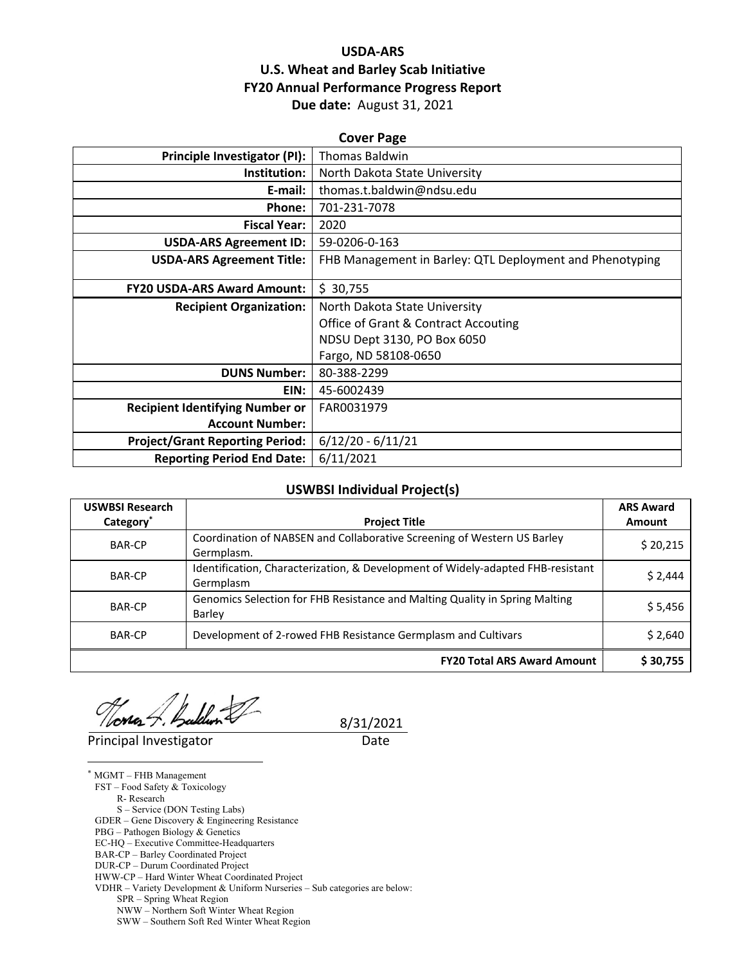# **USDA‐ARS U.S. Wheat and Barley Scab Initiative FY20 Annual Performance Progress Report Due date:** August 31, 2021

| <b>Cover Page</b>                      |                                                          |  |  |  |
|----------------------------------------|----------------------------------------------------------|--|--|--|
| Principle Investigator (PI):           | <b>Thomas Baldwin</b>                                    |  |  |  |
| Institution:                           | North Dakota State University                            |  |  |  |
| E-mail:                                | thomas.t.baldwin@ndsu.edu                                |  |  |  |
| Phone:                                 | 701-231-7078                                             |  |  |  |
| <b>Fiscal Year:</b>                    | 2020                                                     |  |  |  |
| <b>USDA-ARS Agreement ID:</b>          | 59-0206-0-163                                            |  |  |  |
| <b>USDA-ARS Agreement Title:</b>       | FHB Management in Barley: QTL Deployment and Phenotyping |  |  |  |
|                                        |                                                          |  |  |  |
| <b>FY20 USDA-ARS Award Amount:</b>     | \$30,755                                                 |  |  |  |
| <b>Recipient Organization:</b>         | North Dakota State University                            |  |  |  |
|                                        | <b>Office of Grant &amp; Contract Accouting</b>          |  |  |  |
|                                        | NDSU Dept 3130, PO Box 6050                              |  |  |  |
|                                        | Fargo, ND 58108-0650                                     |  |  |  |
| <b>DUNS Number:</b>                    | 80-388-2299                                              |  |  |  |
| EIN:                                   | 45-6002439                                               |  |  |  |
| <b>Recipient Identifying Number or</b> | FAR0031979                                               |  |  |  |
| <b>Account Number:</b>                 |                                                          |  |  |  |
| <b>Project/Grant Reporting Period:</b> | $6/12/20 - 6/11/21$                                      |  |  |  |
| <b>Reporting Period End Date:</b>      | 6/11/2021                                                |  |  |  |

#### **USWBSI Individual Project(s)**

| <b>USWBSI Research</b> |                                                                                              | <b>ARS Award</b> |
|------------------------|----------------------------------------------------------------------------------------------|------------------|
| Category <sup>®</sup>  | <b>Project Title</b>                                                                         | Amount           |
| <b>BAR-CP</b>          | Coordination of NABSEN and Collaborative Screening of Western US Barley<br>Germplasm.        | \$20,215         |
| <b>BAR-CP</b>          | Identification, Characterization, & Development of Widely-adapted FHB-resistant<br>Germplasm | \$2,444          |
| <b>BAR-CP</b>          | Genomics Selection for FHB Resistance and Malting Quality in Spring Malting<br>Barley        | \$5,456          |
| <b>BAR-CP</b>          | Development of 2-rowed FHB Resistance Germplasm and Cultivars                                | \$2,640          |
|                        | <b>FY20 Total ARS Award Amount</b>                                                           | \$30,755         |

 $\frac{\sqrt{2}}{\text{Principal Investment}}$ <br>Principal Investigator Date /loma:

 $\overline{a}$ 

8/31/2021

\* MGMT – FHB Management FST – Food Safety & Toxicology R- Research S – Service (DON Testing Labs) GDER – Gene Discovery & Engineering Resistance PBG – Pathogen Biology & Genetics EC-HQ – Executive Committee-Headquarters BAR-CP – Barley Coordinated Project DUR-CP – Durum Coordinated Project HWW-CP – Hard Winter Wheat Coordinated Project VDHR – Variety Development & Uniform Nurseries – Sub categories are below: SPR – Spring Wheat Region NWW – Northern Soft Winter Wheat Region

SWW – Southern Soft Red Winter Wheat Region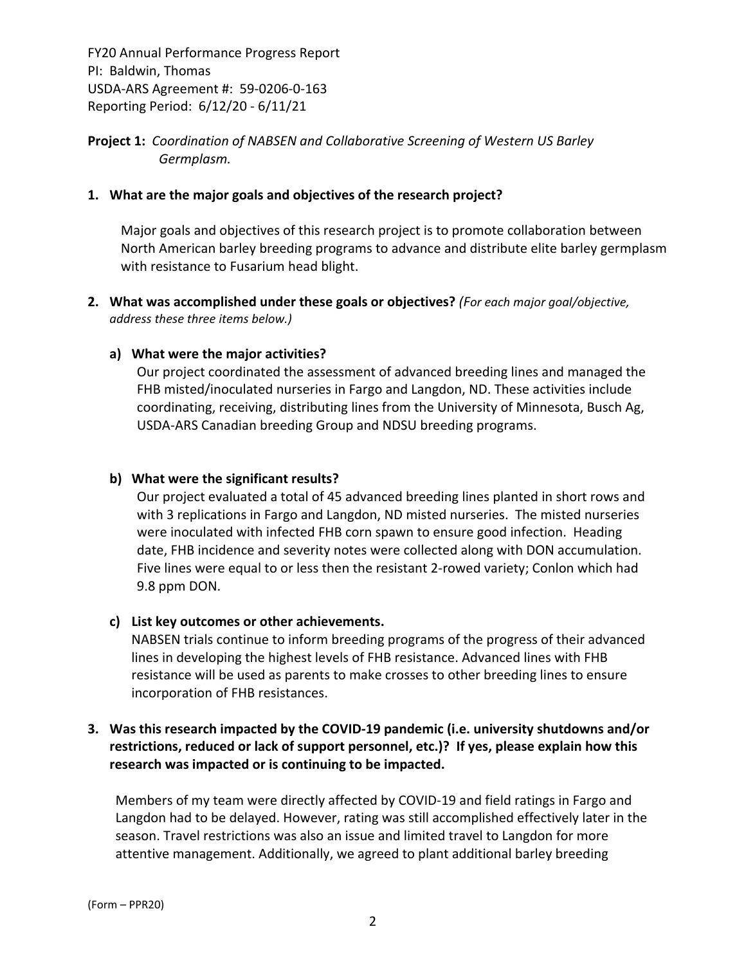**Project 1:** *Coordination of NABSEN and Collaborative Screening of Western US Barley Germplasm.*

## **1. What are the major goals and objectives of the research project?**

Major goals and objectives of this research project is to promote collaboration between North American barley breeding programs to advance and distribute elite barley germplasm with resistance to Fusarium head blight.

**2. What was accomplished under these goals or objectives?** *(For each major goal/objective, address these three items below.)*

## **a) What were the major activities?**

Our project coordinated the assessment of advanced breeding lines and managed the FHB misted/inoculated nurseries in Fargo and Langdon, ND. These activities include coordinating, receiving, distributing lines from the University of Minnesota, Busch Ag, USDA‐ARS Canadian breeding Group and NDSU breeding programs.

#### **b) What were the significant results?**

Our project evaluated a total of 45 advanced breeding lines planted in short rows and with 3 replications in Fargo and Langdon, ND misted nurseries. The misted nurseries were inoculated with infected FHB corn spawn to ensure good infection. Heading date, FHB incidence and severity notes were collected along with DON accumulation. Five lines were equal to or less then the resistant 2‐rowed variety; Conlon which had 9.8 ppm DON.

#### **c) List key outcomes or other achievements.**

NABSEN trials continue to inform breeding programs of the progress of their advanced lines in developing the highest levels of FHB resistance. Advanced lines with FHB resistance will be used as parents to make crosses to other breeding lines to ensure incorporation of FHB resistances.

# **3. Was this research impacted by the COVID‐19 pandemic (i.e. university shutdowns and/or restrictions, reduced or lack of support personnel, etc.)? If yes, please explain how this research was impacted or is continuing to be impacted.**

Members of my team were directly affected by COVID‐19 and field ratings in Fargo and Langdon had to be delayed. However, rating was still accomplished effectively later in the season. Travel restrictions was also an issue and limited travel to Langdon for more attentive management. Additionally, we agreed to plant additional barley breeding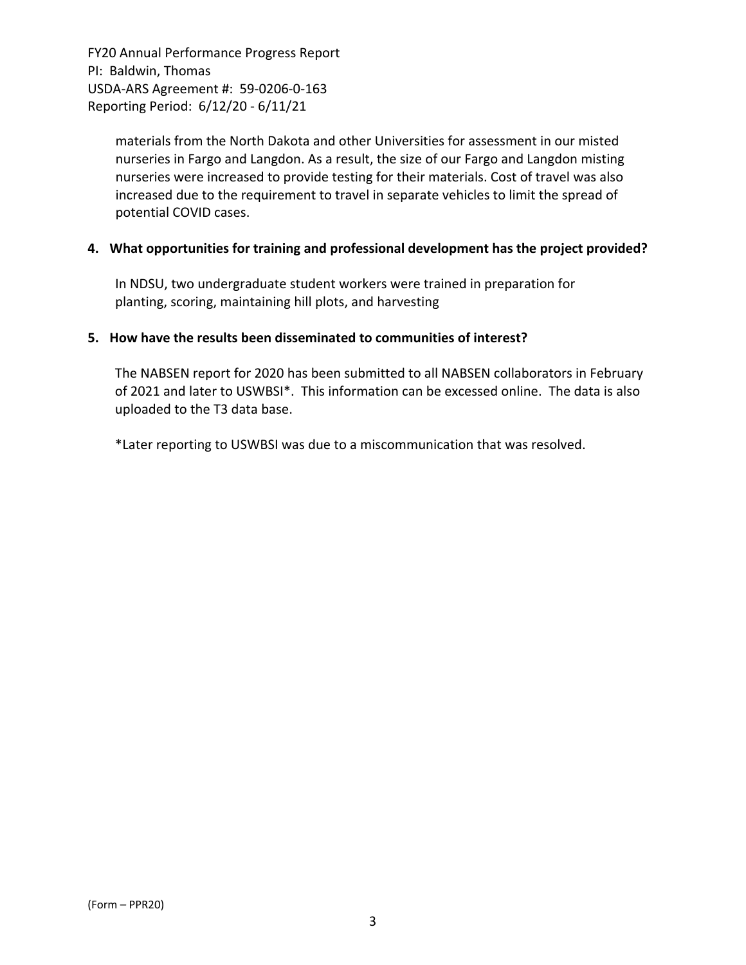> materials from the North Dakota and other Universities for assessment in our misted nurseries in Fargo and Langdon. As a result, the size of our Fargo and Langdon misting nurseries were increased to provide testing for their materials. Cost of travel was also increased due to the requirement to travel in separate vehicles to limit the spread of potential COVID cases.

#### **4. What opportunities for training and professional development has the project provided?**

In NDSU, two undergraduate student workers were trained in preparation for planting, scoring, maintaining hill plots, and harvesting

#### **5. How have the results been disseminated to communities of interest?**

The NABSEN report for 2020 has been submitted to all NABSEN collaborators in February of 2021 and later to USWBSI\*. This information can be excessed online. The data is also uploaded to the T3 data base.

\*Later reporting to USWBSI was due to a miscommunication that was resolved.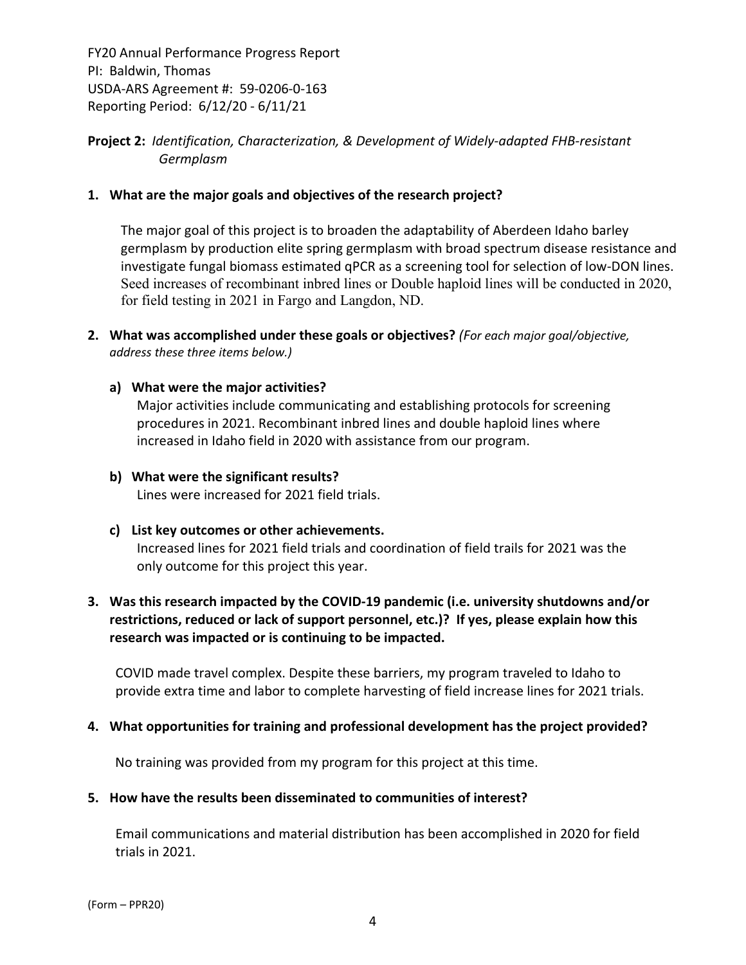# **Project 2:** *Identification, Characterization, & Development of Widely‐adapted FHB‐resistant Germplasm*

#### **1. What are the major goals and objectives of the research project?**

The major goal of this project is to broaden the adaptability of Aberdeen Idaho barley germplasm by production elite spring germplasm with broad spectrum disease resistance and investigate fungal biomass estimated qPCR as a screening tool for selection of low‐DON lines. Seed increases of recombinant inbred lines or Double haploid lines will be conducted in 2020, for field testing in 2021 in Fargo and Langdon, ND.

**2. What was accomplished under these goals or objectives?** *(For each major goal/objective, address these three items below.)*

#### **a) What were the major activities?**

Major activities include communicating and establishing protocols for screening procedures in 2021. Recombinant inbred lines and double haploid lines where increased in Idaho field in 2020 with assistance from our program.

# **b) What were the significant results?**

Lines were increased for 2021 field trials.

#### **c) List key outcomes or other achievements.**

Increased lines for 2021 field trials and coordination of field trails for 2021 was the only outcome for this project this year.

# **3. Was this research impacted by the COVID‐19 pandemic (i.e. university shutdowns and/or restrictions, reduced or lack of support personnel, etc.)? If yes, please explain how this research was impacted or is continuing to be impacted.**

COVID made travel complex. Despite these barriers, my program traveled to Idaho to provide extra time and labor to complete harvesting of field increase lines for 2021 trials.

#### **4. What opportunities for training and professional development has the project provided?**

No training was provided from my program for this project at this time.

#### **5. How have the results been disseminated to communities of interest?**

Email communications and material distribution has been accomplished in 2020 for field trials in 2021.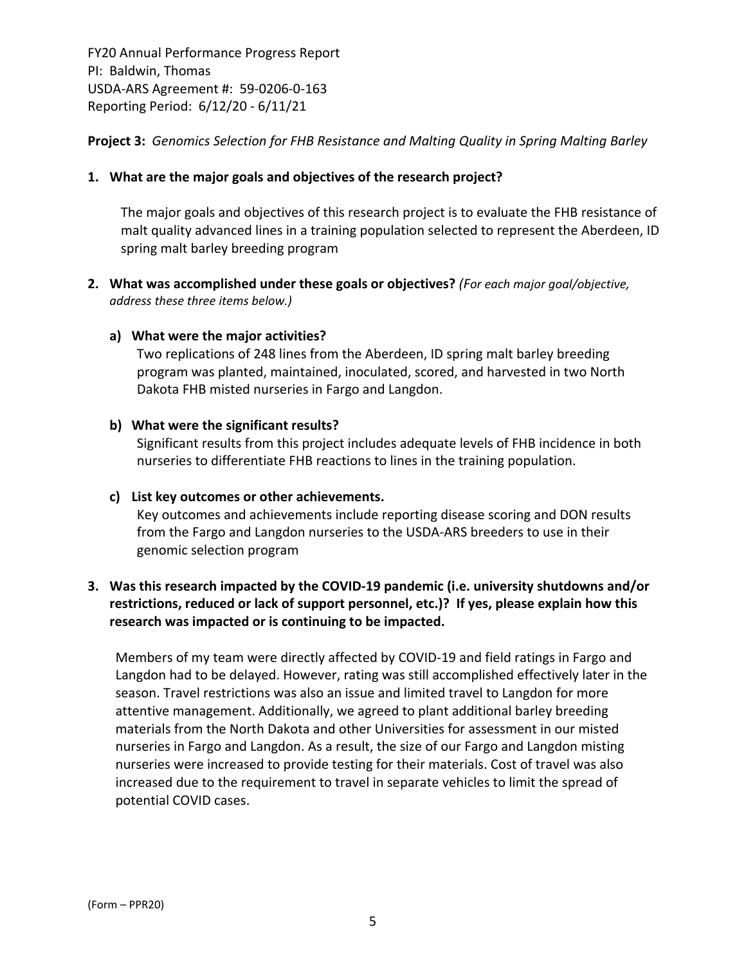**Project 3:** *Genomics Selection for FHB Resistance and Malting Quality in Spring Malting Barley*

## **1. What are the major goals and objectives of the research project?**

The major goals and objectives of this research project is to evaluate the FHB resistance of malt quality advanced lines in a training population selected to represent the Aberdeen, ID spring malt barley breeding program

**2. What was accomplished under these goals or objectives?** *(For each major goal/objective, address these three items below.)*

#### **a) What were the major activities?**

Two replications of 248 lines from the Aberdeen, ID spring malt barley breeding program was planted, maintained, inoculated, scored, and harvested in two North Dakota FHB misted nurseries in Fargo and Langdon.

#### **b) What were the significant results?**

Significant results from this project includes adequate levels of FHB incidence in both nurseries to differentiate FHB reactions to lines in the training population.

#### **c) List key outcomes or other achievements.**

Key outcomes and achievements include reporting disease scoring and DON results from the Fargo and Langdon nurseries to the USDA‐ARS breeders to use in their genomic selection program

# **3. Was this research impacted by the COVID‐19 pandemic (i.e. university shutdowns and/or restrictions, reduced or lack of support personnel, etc.)? If yes, please explain how this research was impacted or is continuing to be impacted.**

Members of my team were directly affected by COVID‐19 and field ratings in Fargo and Langdon had to be delayed. However, rating was still accomplished effectively later in the season. Travel restrictions was also an issue and limited travel to Langdon for more attentive management. Additionally, we agreed to plant additional barley breeding materials from the North Dakota and other Universities for assessment in our misted nurseries in Fargo and Langdon. As a result, the size of our Fargo and Langdon misting nurseries were increased to provide testing for their materials. Cost of travel was also increased due to the requirement to travel in separate vehicles to limit the spread of potential COVID cases.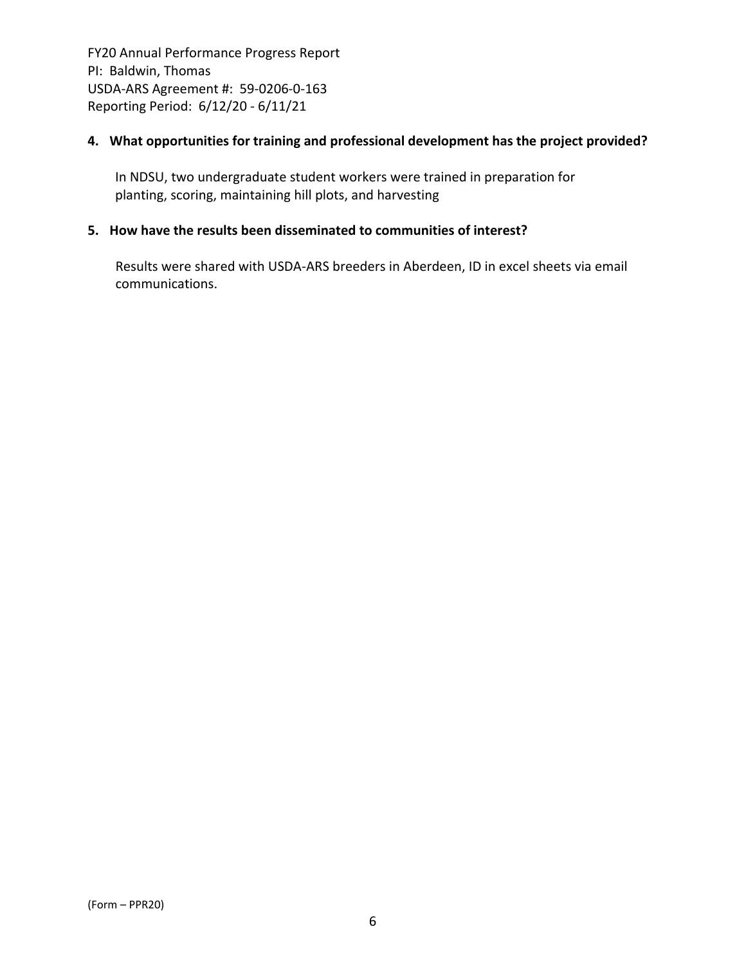## **4. What opportunities for training and professional development has the project provided?**

In NDSU, two undergraduate student workers were trained in preparation for planting, scoring, maintaining hill plots, and harvesting

## **5. How have the results been disseminated to communities of interest?**

Results were shared with USDA‐ARS breeders in Aberdeen, ID in excel sheets via email communications.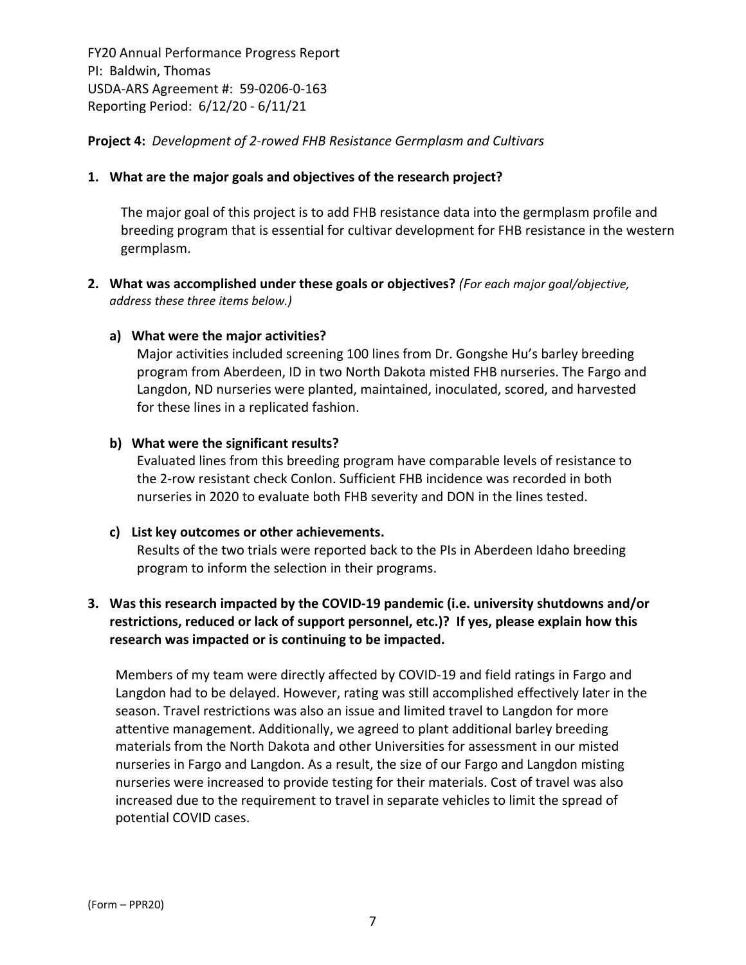## **Project 4:** *Development of 2‐rowed FHB Resistance Germplasm and Cultivars*

#### **1. What are the major goals and objectives of the research project?**

The major goal of this project is to add FHB resistance data into the germplasm profile and breeding program that is essential for cultivar development for FHB resistance in the western germplasm.

**2. What was accomplished under these goals or objectives?** *(For each major goal/objective, address these three items below.)*

#### **a) What were the major activities?**

Major activities included screening 100 lines from Dr. Gongshe Hu's barley breeding program from Aberdeen, ID in two North Dakota misted FHB nurseries. The Fargo and Langdon, ND nurseries were planted, maintained, inoculated, scored, and harvested for these lines in a replicated fashion.

#### **b) What were the significant results?**

Evaluated lines from this breeding program have comparable levels of resistance to the 2‐row resistant check Conlon. Sufficient FHB incidence was recorded in both nurseries in 2020 to evaluate both FHB severity and DON in the lines tested.

#### **c) List key outcomes or other achievements.**

Results of the two trials were reported back to the PIs in Aberdeen Idaho breeding program to inform the selection in their programs.

# **3. Was this research impacted by the COVID‐19 pandemic (i.e. university shutdowns and/or restrictions, reduced or lack of support personnel, etc.)? If yes, please explain how this research was impacted or is continuing to be impacted.**

Members of my team were directly affected by COVID‐19 and field ratings in Fargo and Langdon had to be delayed. However, rating was still accomplished effectively later in the season. Travel restrictions was also an issue and limited travel to Langdon for more attentive management. Additionally, we agreed to plant additional barley breeding materials from the North Dakota and other Universities for assessment in our misted nurseries in Fargo and Langdon. As a result, the size of our Fargo and Langdon misting nurseries were increased to provide testing for their materials. Cost of travel was also increased due to the requirement to travel in separate vehicles to limit the spread of potential COVID cases.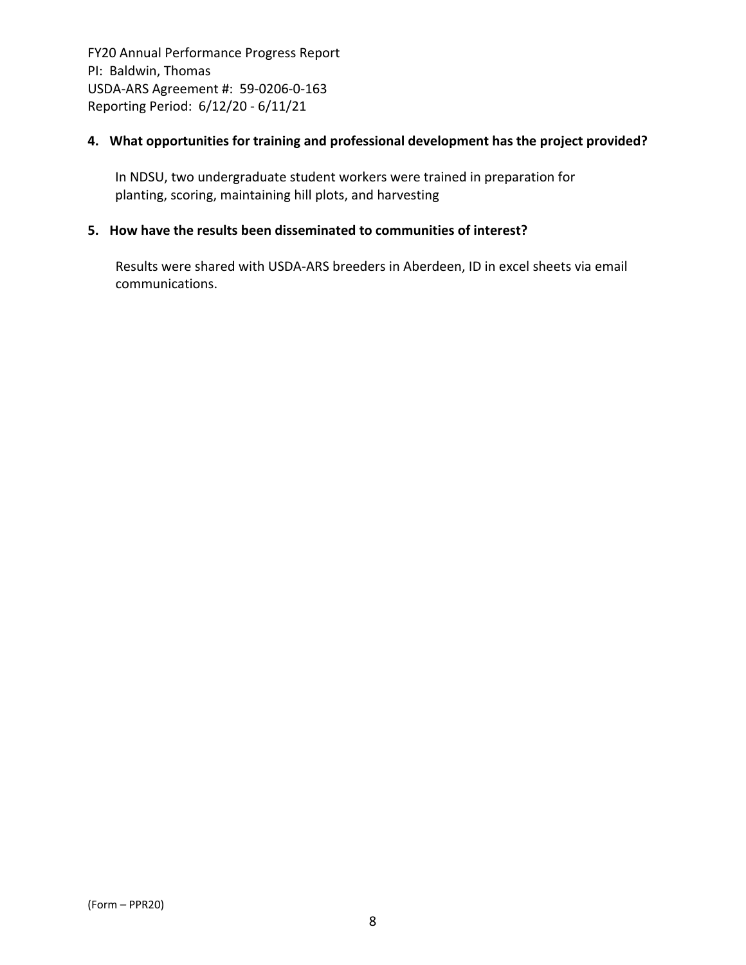## **4. What opportunities for training and professional development has the project provided?**

In NDSU, two undergraduate student workers were trained in preparation for planting, scoring, maintaining hill plots, and harvesting

## **5. How have the results been disseminated to communities of interest?**

Results were shared with USDA‐ARS breeders in Aberdeen, ID in excel sheets via email communications.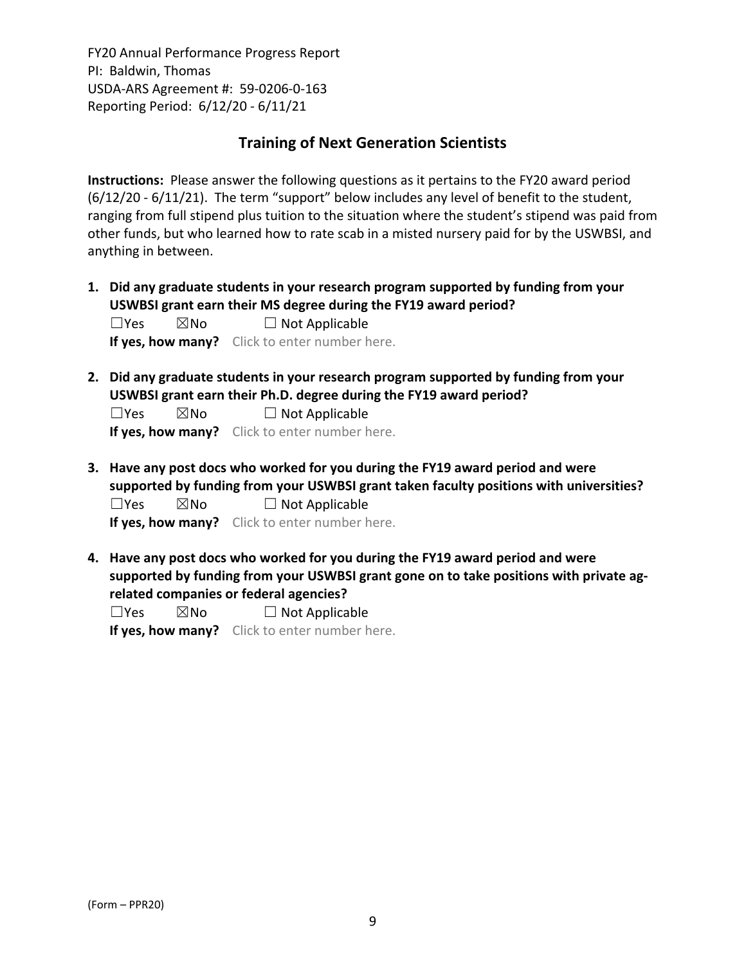# **Training of Next Generation Scientists**

**Instructions:** Please answer the following questions as it pertains to the FY20 award period (6/12/20 ‐ 6/11/21). The term "support" below includes any level of benefit to the student, ranging from full stipend plus tuition to the situation where the student's stipend was paid from other funds, but who learned how to rate scab in a misted nursery paid for by the USWBSI, and anything in between.

**1. Did any graduate students in your research program supported by funding from your USWBSI grant earn their MS degree during the FY19 award period?**  $\Box$ Yes  $\boxtimes$ No  $\Box$  Not Applicable

**If yes, how many?** Click to enter number here.

**2. Did any graduate students in your research program supported by funding from your USWBSI grant earn their Ph.D. degree during the FY19 award period?**

 $\Box$ Yes  $\boxtimes$ No  $\Box$  Not Applicable

**If yes, how many?** Click to enter number here.

**3. Have any post docs who worked for you during the FY19 award period and were supported by funding from your USWBSI grant taken faculty positions with universities?**  $\Box$ Yes  $\boxtimes$ No  $\Box$  Not Applicable

**If yes, how many?** Click to enter number here.

**4. Have any post docs who worked for you during the FY19 award period and were supported by funding from your USWBSI grant gone on to take positions with private ag‐ related companies or federal agencies?**

 $\square$ Yes  $\square$ No  $\square$  Not Applicable

**If yes, how many?** Click to enter number here.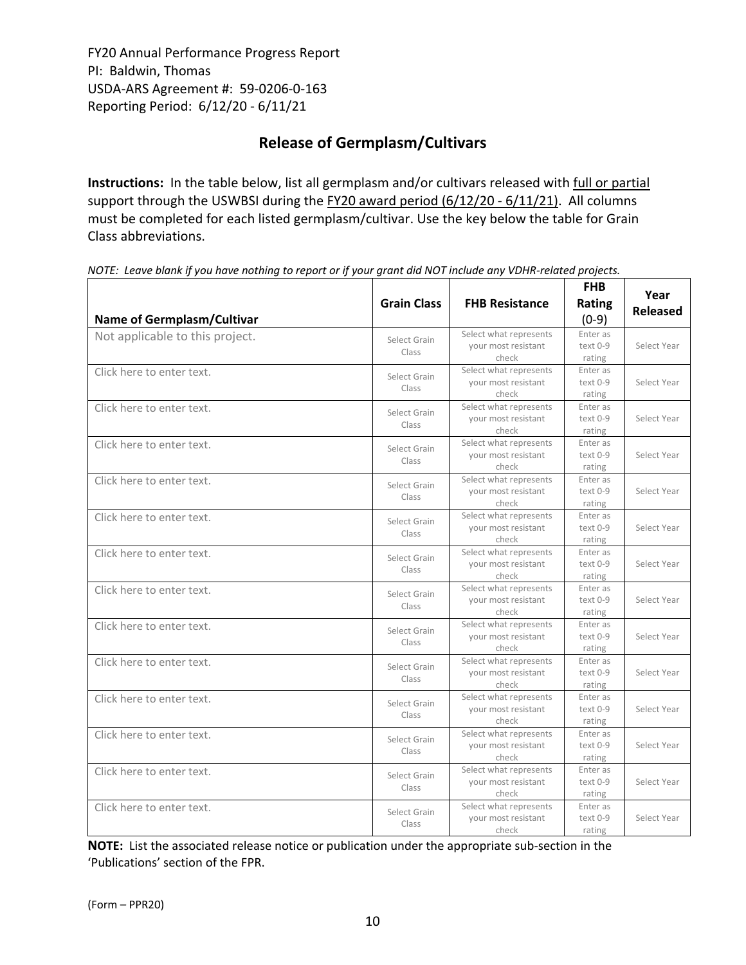# **Release of Germplasm/Cultivars**

**Instructions:** In the table below, list all germplasm and/or cultivars released with full or partial support through the USWBSI during the FY20 award period (6/12/20 - 6/11/21). All columns must be completed for each listed germplasm/cultivar. Use the key below the table for Grain Class abbreviations. 

| <b>Name of Germplasm/Cultivar</b> | <b>Grain Class</b>    | <b>FHB Resistance</b>                                  | <b>FHB</b><br>Rating<br>$(0-9)$  | Year<br><b>Released</b> |
|-----------------------------------|-----------------------|--------------------------------------------------------|----------------------------------|-------------------------|
| Not applicable to this project.   | Select Grain<br>Class | Select what represents<br>your most resistant<br>check | Enter as<br>$text 0-9$<br>rating | Select Year             |
| Click here to enter text.         | Select Grain<br>Class | Select what represents<br>your most resistant<br>check | Enter as<br>text 0-9<br>rating   | Select Year             |
| Click here to enter text.         | Select Grain<br>Class | Select what represents<br>your most resistant<br>check | Enter as<br>text 0-9<br>rating   | Select Year             |
| Click here to enter text.         | Select Grain<br>Class | Select what represents<br>your most resistant<br>check | Enter as<br>text 0-9<br>rating   | Select Year             |
| Click here to enter text.         | Select Grain<br>Class | Select what represents<br>your most resistant<br>check | Enter as<br>text 0-9<br>rating   | Select Year             |
| Click here to enter text.         | Select Grain<br>Class | Select what represents<br>your most resistant<br>check | Enter as<br>text 0-9<br>rating   | Select Year             |
| Click here to enter text.         | Select Grain<br>Class | Select what represents<br>your most resistant<br>check | Enter as<br>text 0-9<br>rating   | Select Year             |
| Click here to enter text.         | Select Grain<br>Class | Select what represents<br>your most resistant<br>check | Enter as<br>text 0-9<br>rating   | Select Year             |
| Click here to enter text.         | Select Grain<br>Class | Select what represents<br>your most resistant<br>check | Enter as<br>text 0-9<br>rating   | Select Year             |
| Click here to enter text.         | Select Grain<br>Class | Select what represents<br>your most resistant<br>check | Enter as<br>text 0-9<br>rating   | Select Year             |
| Click here to enter text.         | Select Grain<br>Class | Select what represents<br>your most resistant<br>check | Enter as<br>text 0-9<br>rating   | Select Year             |
| Click here to enter text.         | Select Grain<br>Class | Select what represents<br>your most resistant<br>check | Enter as<br>text 0-9<br>rating   | Select Year             |
| Click here to enter text.         | Select Grain<br>Class | Select what represents<br>your most resistant<br>check | Enter as<br>text 0-9<br>rating   | Select Year             |
| Click here to enter text.         | Select Grain<br>Class | Select what represents<br>your most resistant<br>check | Enter as<br>text 0-9<br>rating   | Select Year             |

NOTE: Leave blank if you have nothing to report or if your grant did NOT include any VDHR-related projects.

**NOTE:** List the associated release notice or publication under the appropriate sub-section in the 'Publications' section of the FPR.